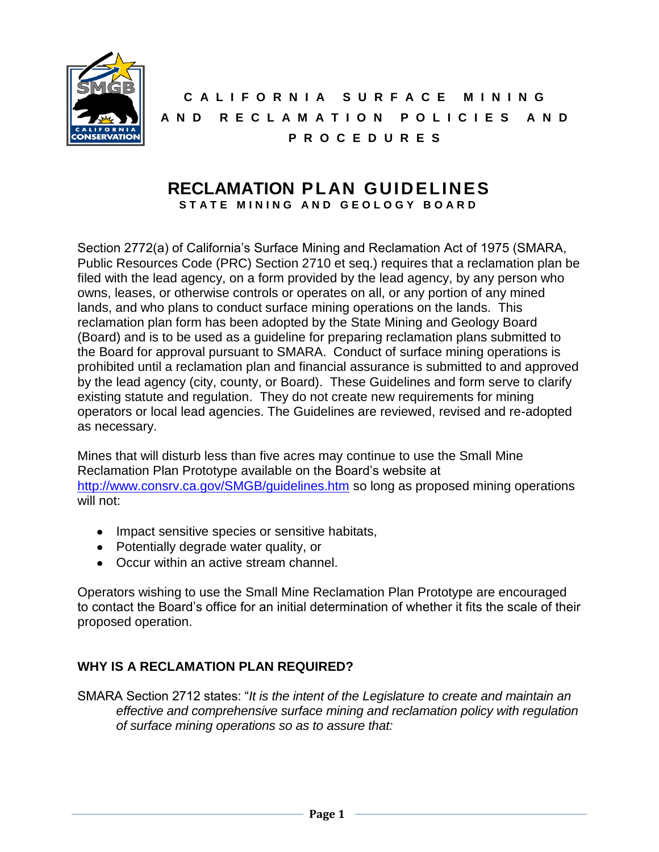

**C A L I F O R N I A S U R F A C E M I N I N G A N D R E C L A M A T I O N P O L I C I E S A N D P R O C E D U R E S**

#### **RECLAMATION PLAN GUIDELINES** STATE MINING AND GEOLOGY BOARD

Section 2772(a) of California's Surface Mining and Reclamation Act of 1975 (SMARA, Public Resources Code (PRC) Section 2710 et seq.) requires that a reclamation plan be filed with the lead agency, on a form provided by the lead agency, by any person who owns, leases, or otherwise controls or operates on all, or any portion of any mined lands, and who plans to conduct surface mining operations on the lands. This reclamation plan form has been adopted by the State Mining and Geology Board (Board) and is to be used as a guideline for preparing reclamation plans submitted to the Board for approval pursuant to SMARA. Conduct of surface mining operations is prohibited until a reclamation plan and financial assurance is submitted to and approved by the lead agency (city, county, or Board). These Guidelines and form serve to clarify existing statute and regulation. They do not create new requirements for mining operators or local lead agencies. The Guidelines are reviewed, revised and re-adopted as necessary.

Mines that will disturb less than five acres may continue to use the Small Mine Reclamation Plan Prototype available on the Board's website at <http://www.consrv.ca.gov/SMGB/guidelines.htm> so long as proposed mining operations will not:

- Impact sensitive species or sensitive habitats,
- Potentially degrade water quality, or
- Occur within an active stream channel.

Operators wishing to use the Small Mine Reclamation Plan Prototype are encouraged to contact the Board's office for an initial determination of whether it fits the scale of their proposed operation.

# **WHY IS A RECLAMATION PLAN REQUIRED?**

SMARA Section 2712 states: "*It is the intent of the Legislature to create and maintain an effective and comprehensive surface mining and reclamation policy with regulation of surface mining operations so as to assure that:*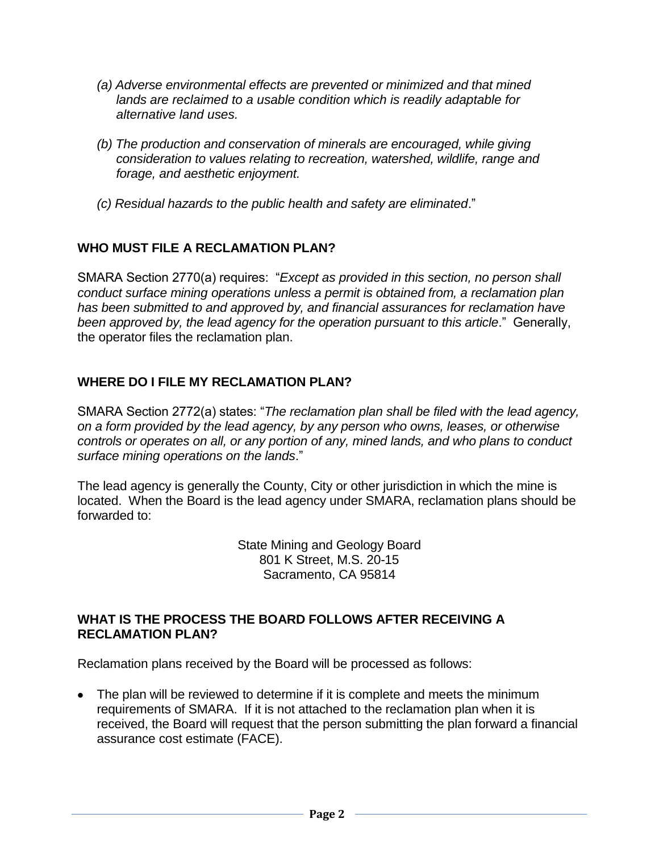- *(a) Adverse environmental effects are prevented or minimized and that mined lands are reclaimed to a usable condition which is readily adaptable for alternative land uses.*
- *(b) The production and conservation of minerals are encouraged, while giving consideration to values relating to recreation, watershed, wildlife, range and forage, and aesthetic enjoyment.*
- *(c) Residual hazards to the public health and safety are eliminated*."

# **WHO MUST FILE A RECLAMATION PLAN?**

SMARA Section 2770(a) requires: "*Except as provided in this section, no person shall conduct surface mining operations unless a permit is obtained from, a reclamation plan has been submitted to and approved by, and financial assurances for reclamation have been approved by, the lead agency for the operation pursuant to this article*." Generally, the operator files the reclamation plan.

#### **WHERE DO I FILE MY RECLAMATION PLAN?**

SMARA Section 2772(a) states: "*The reclamation plan shall be filed with the lead agency, on a form provided by the lead agency, by any person who owns, leases, or otherwise controls or operates on all, or any portion of any, mined lands, and who plans to conduct surface mining operations on the lands*."

The lead agency is generally the County, City or other jurisdiction in which the mine is located. When the Board is the lead agency under SMARA, reclamation plans should be forwarded to:

> State Mining and Geology Board 801 K Street, M.S. 20-15 Sacramento, CA 95814

#### **WHAT IS THE PROCESS THE BOARD FOLLOWS AFTER RECEIVING A RECLAMATION PLAN?**

Reclamation plans received by the Board will be processed as follows:

• The plan will be reviewed to determine if it is complete and meets the minimum requirements of SMARA. If it is not attached to the reclamation plan when it is received, the Board will request that the person submitting the plan forward a financial assurance cost estimate (FACE).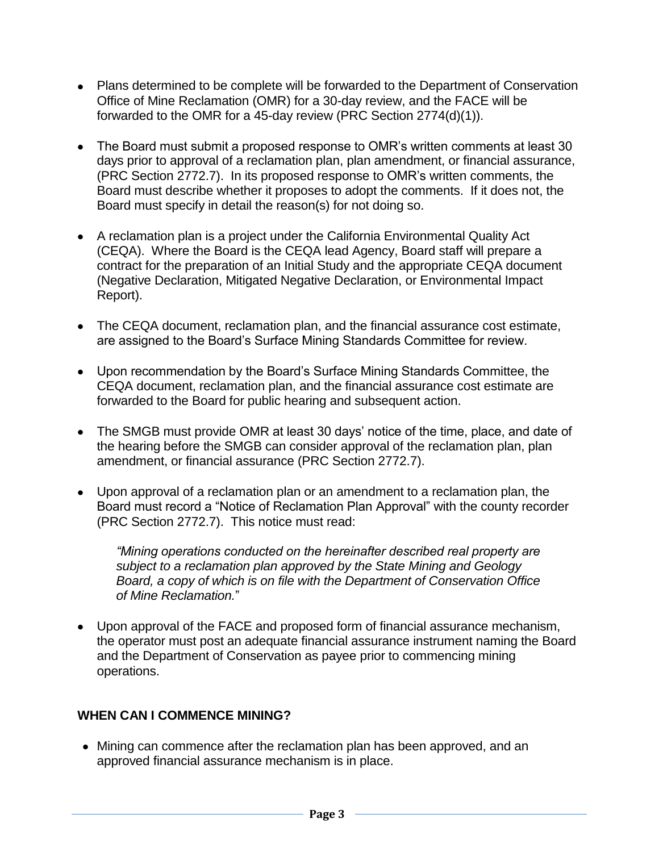- Plans determined to be complete will be forwarded to the Department of Conservation Office of Mine Reclamation (OMR) for a 30-day review, and the FACE will be forwarded to the OMR for a 45-day review (PRC Section 2774(d)(1)).
- The Board must submit a proposed response to OMR's written comments at least 30 days prior to approval of a reclamation plan, plan amendment, or financial assurance, (PRC Section 2772.7). In its proposed response to OMR's written comments, the Board must describe whether it proposes to adopt the comments. If it does not, the Board must specify in detail the reason(s) for not doing so.
- A reclamation plan is a project under the California Environmental Quality Act (CEQA). Where the Board is the CEQA lead Agency, Board staff will prepare a contract for the preparation of an Initial Study and the appropriate CEQA document (Negative Declaration, Mitigated Negative Declaration, or Environmental Impact Report).
- The CEQA document, reclamation plan, and the financial assurance cost estimate, are assigned to the Board's Surface Mining Standards Committee for review.
- Upon recommendation by the Board's Surface Mining Standards Committee, the CEQA document, reclamation plan, and the financial assurance cost estimate are forwarded to the Board for public hearing and subsequent action.
- The SMGB must provide OMR at least 30 days' notice of the time, place, and date of the hearing before the SMGB can consider approval of the reclamation plan, plan amendment, or financial assurance (PRC Section 2772.7).
- Upon approval of a reclamation plan or an amendment to a reclamation plan, the Board must record a "Notice of Reclamation Plan Approval" with the county recorder (PRC Section 2772.7). This notice must read:

*"Mining operations conducted on the hereinafter described real property are subject to a reclamation plan approved by the State Mining and Geology Board, a copy of which is on file with the Department of Conservation Office of Mine Reclamation.*"

Upon approval of the FACE and proposed form of financial assurance mechanism, the operator must post an adequate financial assurance instrument naming the Board and the Department of Conservation as payee prior to commencing mining operations.

#### **WHEN CAN I COMMENCE MINING?**

Mining can commence after the reclamation plan has been approved, and an approved financial assurance mechanism is in place.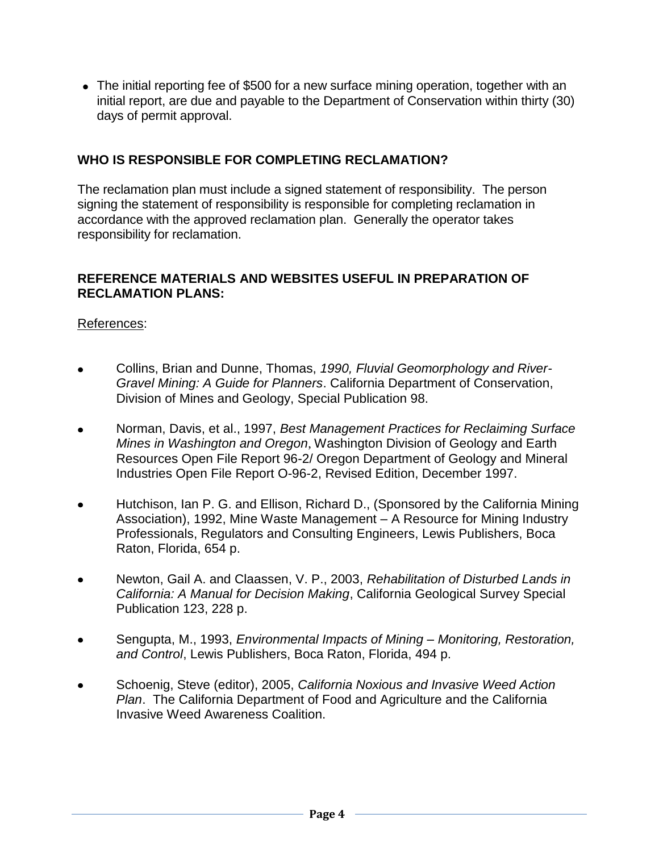• The initial reporting fee of \$500 for a new surface mining operation, together with an initial report, are due and payable to the Department of Conservation within thirty (30) days of permit approval.

### **WHO IS RESPONSIBLE FOR COMPLETING RECLAMATION?**

The reclamation plan must include a signed statement of responsibility. The person signing the statement of responsibility is responsible for completing reclamation in accordance with the approved reclamation plan. Generally the operator takes responsibility for reclamation.

#### **REFERENCE MATERIALS AND WEBSITES USEFUL IN PREPARATION OF RECLAMATION PLANS:**

## References:

- Collins, Brian and Dunne, Thomas, *1990, Fluvial Geomorphology and River-Gravel Mining: A Guide for Planners*. California Department of Conservation, Division of Mines and Geology, Special Publication 98.
- Norman, Davis, et al., 1997, *Best Management Practices for Reclaiming Surface Mines in Washington and Oregon*, Washington Division of Geology and Earth Resources Open File Report 96-2/ Oregon Department of Geology and Mineral Industries Open File Report O-96-2, Revised Edition, December 1997.
- Hutchison, Ian P. G. and Ellison, Richard D., (Sponsored by the California Mining Association), 1992, Mine Waste Management – A Resource for Mining Industry Professionals, Regulators and Consulting Engineers, Lewis Publishers, Boca Raton, Florida, 654 p.
- Newton, Gail A. and Claassen, V. P., 2003, *Rehabilitation of Disturbed Lands in California: A Manual for Decision Making*, California Geological Survey Special Publication 123, 228 p.
- Sengupta, M., 1993, *Environmental Impacts of Mining – Monitoring, Restoration, and Control*, Lewis Publishers, Boca Raton, Florida, 494 p.
- Schoenig, Steve (editor), 2005, *California Noxious and Invasive Weed Action Plan*. The California Department of Food and Agriculture and the California Invasive Weed Awareness Coalition.